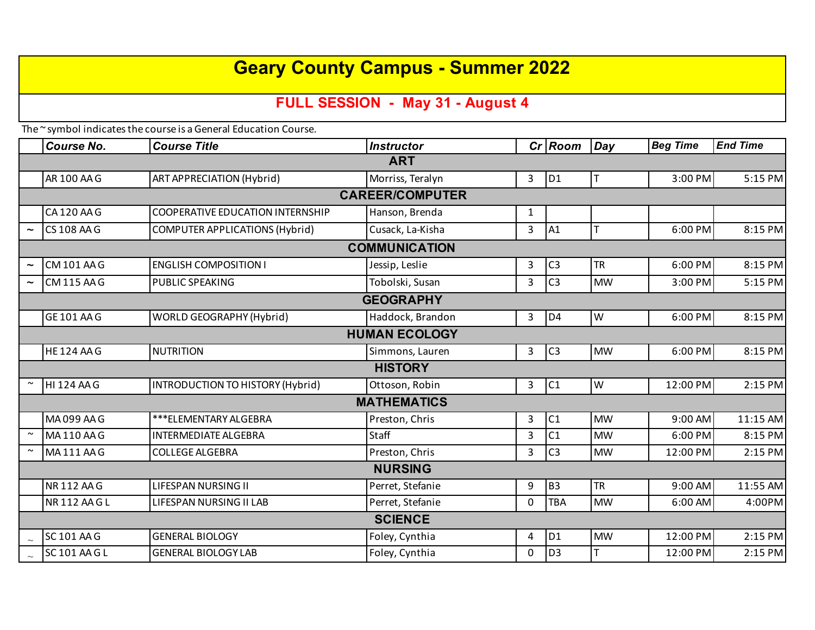# **Geary County Campus - Summer 2022**

## **FULL SESSION - May 31 - August 4**

The ~ symbol indicates the course is a General Education Course.

|                        | <b>Course No.</b>  | <b>Course Title</b>                     | <b>Instructor</b> |          | Cr Room        | Day       | <b>Beg Time</b> | <b>End Time</b> |  |  |  |  |
|------------------------|--------------------|-----------------------------------------|-------------------|----------|----------------|-----------|-----------------|-----------------|--|--|--|--|
| <b>ART</b>             |                    |                                         |                   |          |                |           |                 |                 |  |  |  |  |
|                        | AR 100 AA G        | ART APPRECIATION (Hybrid)               | Morriss, Teralyn  | 3        | D <sub>1</sub> | ΙT        | 3:00 PM         | 5:15 PM         |  |  |  |  |
| <b>CAREER/COMPUTER</b> |                    |                                         |                   |          |                |           |                 |                 |  |  |  |  |
|                        | CA120 AAG          | <b>COOPERATIVE EDUCATION INTERNSHIP</b> | Hanson, Brenda    | 1        |                |           |                 |                 |  |  |  |  |
|                        | CS 108 AA G        | <b>COMPUTER APPLICATIONS (Hybrid)</b>   | Cusack, La-Kisha  | 3        | A1             | T         | 6:00 PM         | 8:15 PM         |  |  |  |  |
| <b>COMMUNICATION</b>   |                    |                                         |                   |          |                |           |                 |                 |  |  |  |  |
| $\tilde{\phantom{a}}$  | CM 101 AA G        | <b>ENGLISH COMPOSITION I</b>            | Jessip, Leslie    | 3        | C <sub>3</sub> | <b>TR</b> | 6:00 PM         | 8:15 PM         |  |  |  |  |
|                        | <b>CM 115 AA G</b> | PUBLIC SPEAKING                         | Tobolski, Susan   | 3        | C <sub>3</sub> | <b>MW</b> | 3:00 PM         | 5:15 PM         |  |  |  |  |
| <b>GEOGRAPHY</b>       |                    |                                         |                   |          |                |           |                 |                 |  |  |  |  |
|                        | GE 101 AA G        | WORLD GEOGRAPHY (Hybrid)                | Haddock, Brandon  | 3        | D <sub>4</sub> | W         | 6:00 PM         | 8:15 PM         |  |  |  |  |
| <b>HUMAN ECOLOGY</b>   |                    |                                         |                   |          |                |           |                 |                 |  |  |  |  |
|                        | <b>HE124 AAG</b>   | <b>NUTRITION</b>                        | Simmons, Lauren   | 3        | C <sub>3</sub> | <b>MW</b> | 6:00 PM         | 8:15 PM         |  |  |  |  |
| <b>HISTORY</b>         |                    |                                         |                   |          |                |           |                 |                 |  |  |  |  |
|                        | <b>HI 124 AA G</b> | <b>INTRODUCTION TO HISTORY (Hybrid)</b> | Ottoson, Robin    | 3        | C1             | W         | 12:00 PM        | 2:15 PM         |  |  |  |  |
| <b>MATHEMATICS</b>     |                    |                                         |                   |          |                |           |                 |                 |  |  |  |  |
|                        | MA099 AAG          | *** ELEMENTARY ALGEBRA                  | Preston, Chris    | 3        | C1             | <b>MW</b> | 9:00 AM         | 11:15 AM        |  |  |  |  |
| $\sim$                 | MA110 AA G         | <b>INTERMEDIATE ALGEBRA</b>             | Staff             | 3        | C1             | <b>MW</b> | 6:00 PM         | 8:15 PM         |  |  |  |  |
|                        | MA111 AA G         | <b>COLLEGE ALGEBRA</b>                  | Preston, Chris    | 3        | C <sub>3</sub> | <b>MW</b> | 12:00 PM        | 2:15 PM         |  |  |  |  |
| <b>NURSING</b>         |                    |                                         |                   |          |                |           |                 |                 |  |  |  |  |
|                        | <b>NR112AAG</b>    | <b>LIFESPAN NURSING II</b>              | Perret, Stefanie  | 9        | B <sub>3</sub> | <b>TR</b> | 9:00 AM         | 11:55 AM        |  |  |  |  |
|                        | NR 112 AA G L      | LIFESPAN NURSING II LAB                 | Perret, Stefanie  | $\Omega$ | <b>TBA</b>     | <b>MW</b> | $6:00$ AM       | 4:00PM          |  |  |  |  |
| <b>SCIENCE</b>         |                    |                                         |                   |          |                |           |                 |                 |  |  |  |  |
|                        | <b>SC 101 AA G</b> | <b>GENERAL BIOLOGY</b>                  | Foley, Cynthia    | 4        | D <sub>1</sub> | <b>MW</b> | 12:00 PM        | 2:15 PM         |  |  |  |  |
|                        | SC 101 AA G L      | <b>GENERAL BIOLOGY LAB</b>              | Foley, Cynthia    | 0        | D <sub>3</sub> | T         | 12:00 PM        | 2:15 PM         |  |  |  |  |